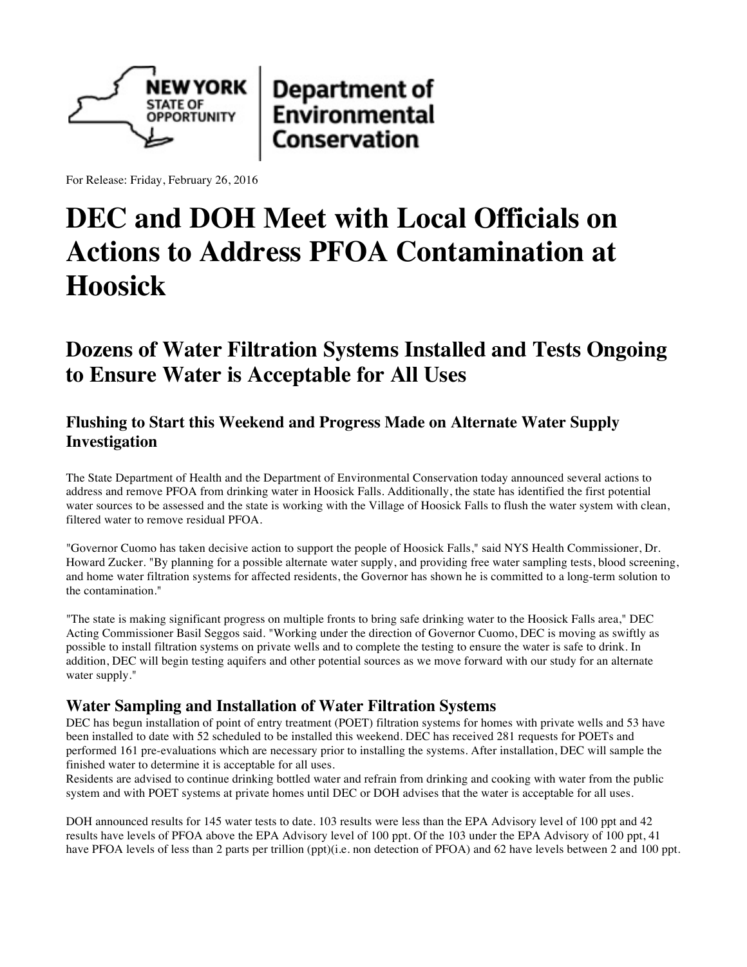

**Department of Environmental** Conservation

For Release: Friday, February 26, 2016

# **DEC and DOH Meet with Local Officials on Actions to Address PFOA Contamination at Hoosick**

# **Dozens of Water Filtration Systems Installed and Tests Ongoing to Ensure Water is Acceptable for All Uses**

# **Flushing to Start this Weekend and Progress Made on Alternate Water Supply Investigation**

The State Department of Health and the Department of Environmental Conservation today announced several actions to address and remove PFOA from drinking water in Hoosick Falls. Additionally, the state has identified the first potential water sources to be assessed and the state is working with the Village of Hoosick Falls to flush the water system with clean, filtered water to remove residual PFOA.

"Governor Cuomo has taken decisive action to support the people of Hoosick Falls," said NYS Health Commissioner, Dr. Howard Zucker. "By planning for a possible alternate water supply, and providing free water sampling tests, blood screening, and home water filtration systems for affected residents, the Governor has shown he is committed to a long-term solution to the contamination."

"The state is making significant progress on multiple fronts to bring safe drinking water to the Hoosick Falls area," DEC Acting Commissioner Basil Seggos said. "Working under the direction of Governor Cuomo, DEC is moving as swiftly as possible to install filtration systems on private wells and to complete the testing to ensure the water is safe to drink. In addition, DEC will begin testing aquifers and other potential sources as we move forward with our study for an alternate water supply."

# **Water Sampling and Installation of Water Filtration Systems**

DEC has begun installation of point of entry treatment (POET) filtration systems for homes with private wells and 53 have been installed to date with 52 scheduled to be installed this weekend. DEC has received 281 requests for POETs and performed 161 pre-evaluations which are necessary prior to installing the systems. After installation, DEC will sample the finished water to determine it is acceptable for all uses.

Residents are advised to continue drinking bottled water and refrain from drinking and cooking with water from the public system and with POET systems at private homes until DEC or DOH advises that the water is acceptable for all uses.

DOH announced results for 145 water tests to date. 103 results were less than the EPA Advisory level of 100 ppt and 42 results have levels of PFOA above the EPA Advisory level of 100 ppt. Of the 103 under the EPA Advisory of 100 ppt, 41 have PFOA levels of less than 2 parts per trillion (ppt)(i.e. non detection of PFOA) and 62 have levels between 2 and 100 ppt.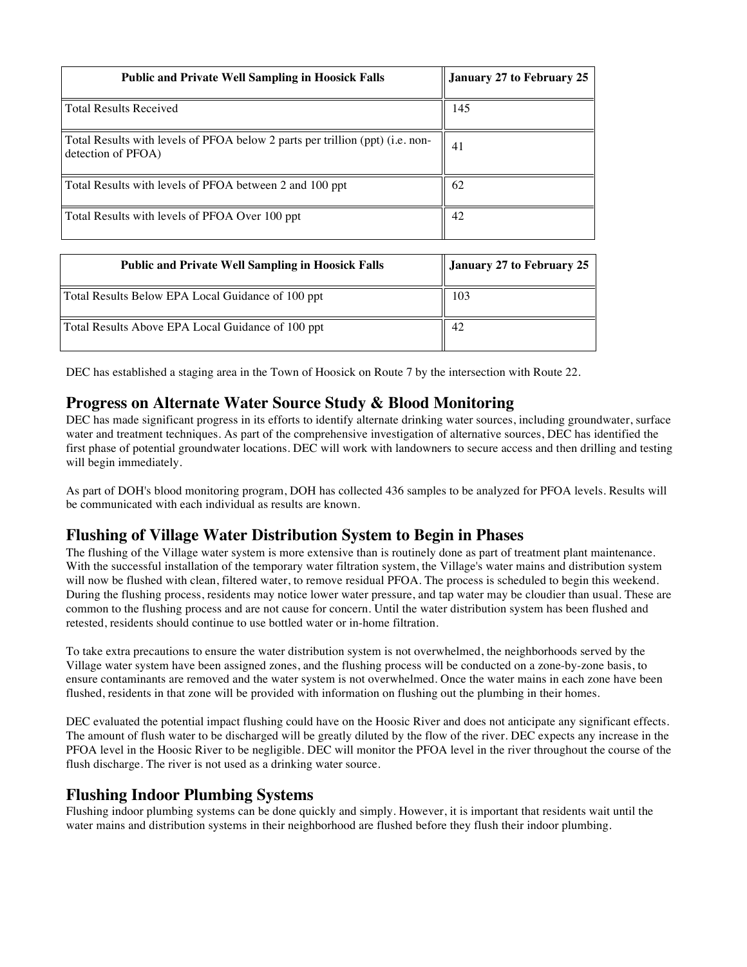| <b>Public and Private Well Sampling in Hoosick Falls</b>                                            | January 27 to February 25 |
|-----------------------------------------------------------------------------------------------------|---------------------------|
| <b>Total Results Received</b>                                                                       | 145                       |
| Total Results with levels of PFOA below 2 parts per trillion (ppt) (i.e. non-<br>detection of PFOA) | 41                        |
| Total Results with levels of PFOA between 2 and 100 ppt                                             | 62                        |
| Total Results with levels of PFOA Over 100 ppt                                                      | 42                        |

| <b>Public and Private Well Sampling in Hoosick Falls</b> | January 27 to February 25 |
|----------------------------------------------------------|---------------------------|
| Total Results Below EPA Local Guidance of 100 ppt        | 103                       |
| Total Results Above EPA Local Guidance of 100 ppt        | 42                        |

DEC has established a staging area in the Town of Hoosick on Route 7 by the intersection with Route 22.

#### **Progress on Alternate Water Source Study & Blood Monitoring**

DEC has made significant progress in its efforts to identify alternate drinking water sources, including groundwater, surface water and treatment techniques. As part of the comprehensive investigation of alternative sources, DEC has identified the first phase of potential groundwater locations. DEC will work with landowners to secure access and then drilling and testing will begin immediately.

As part of DOH's blood monitoring program, DOH has collected 436 samples to be analyzed for PFOA levels. Results will be communicated with each individual as results are known.

# **Flushing of Village Water Distribution System to Begin in Phases**

The flushing of the Village water system is more extensive than is routinely done as part of treatment plant maintenance. With the successful installation of the temporary water filtration system, the Village's water mains and distribution system will now be flushed with clean, filtered water, to remove residual PFOA. The process is scheduled to begin this weekend. During the flushing process, residents may notice lower water pressure, and tap water may be cloudier than usual. These are common to the flushing process and are not cause for concern. Until the water distribution system has been flushed and retested, residents should continue to use bottled water or in-home filtration.

To take extra precautions to ensure the water distribution system is not overwhelmed, the neighborhoods served by the Village water system have been assigned zones, and the flushing process will be conducted on a zone-by-zone basis, to ensure contaminants are removed and the water system is not overwhelmed. Once the water mains in each zone have been flushed, residents in that zone will be provided with information on flushing out the plumbing in their homes.

DEC evaluated the potential impact flushing could have on the Hoosic River and does not anticipate any significant effects. The amount of flush water to be discharged will be greatly diluted by the flow of the river. DEC expects any increase in the PFOA level in the Hoosic River to be negligible. DEC will monitor the PFOA level in the river throughout the course of the flush discharge. The river is not used as a drinking water source.

#### **Flushing Indoor Plumbing Systems**

Flushing indoor plumbing systems can be done quickly and simply. However, it is important that residents wait until the water mains and distribution systems in their neighborhood are flushed before they flush their indoor plumbing.